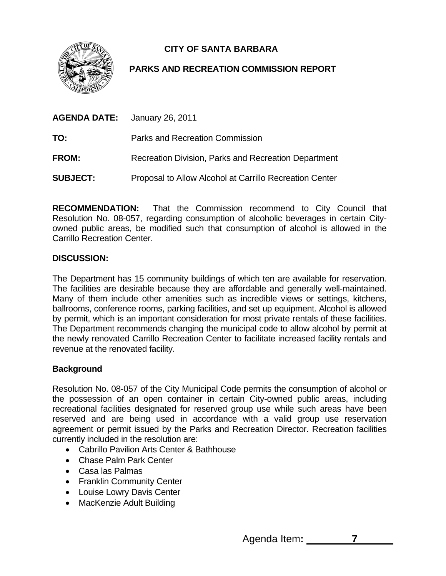**CITY OF SANTA BARBARA** 



# **PARKS AND RECREATION COMMISSION REPORT**

|                 | <b>AGENDA DATE:</b> January 26, 2011                    |
|-----------------|---------------------------------------------------------|
| TO:             | Parks and Recreation Commission                         |
| <b>FROM:</b>    | Recreation Division, Parks and Recreation Department    |
| <b>SUBJECT:</b> | Proposal to Allow Alcohol at Carrillo Recreation Center |

**RECOMMENDATION:** That the Commission recommend to City Council that Resolution No. 08-057, regarding consumption of alcoholic beverages in certain Cityowned public areas, be modified such that consumption of alcohol is allowed in the Carrillo Recreation Center.

## **DISCUSSION:**

The Department has 15 community buildings of which ten are available for reservation. The facilities are desirable because they are affordable and generally well-maintained. Many of them include other amenities such as incredible views or settings, kitchens, ballrooms, conference rooms, parking facilities, and set up equipment. Alcohol is allowed by permit, which is an important consideration for most private rentals of these facilities. The Department recommends changing the municipal code to allow alcohol by permit at the newly renovated Carrillo Recreation Center to facilitate increased facility rentals and revenue at the renovated facility.

## **Background**

Resolution No. 08-057 of the City Municipal Code permits the consumption of alcohol or the possession of an open container in certain City-owned public areas, including recreational facilities designated for reserved group use while such areas have been reserved and are being used in accordance with a valid group use reservation agreement or permit issued by the Parks and Recreation Director. Recreation facilities currently included in the resolution are:

- Cabrillo Pavilion Arts Center & Bathhouse
- Chase Palm Park Center
- Casa las Palmas
- Franklin Community Center
- Louise Lowry Davis Center
- MacKenzie Adult Building

Agenda Item**: 7**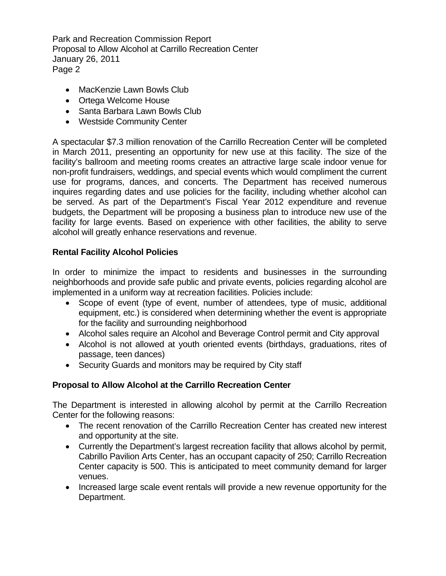Park and Recreation Commission Report Proposal to Allow Alcohol at Carrillo Recreation Center January 26, 2011 Page 2

- MacKenzie Lawn Bowls Club
- Ortega Welcome House
- Santa Barbara Lawn Bowls Club
- Westside Community Center

A spectacular \$7.3 million renovation of the Carrillo Recreation Center will be completed in March 2011, presenting an opportunity for new use at this facility. The size of the facility's ballroom and meeting rooms creates an attractive large scale indoor venue for non-profit fundraisers, weddings, and special events which would compliment the current use for programs, dances, and concerts. The Department has received numerous inquires regarding dates and use policies for the facility, including whether alcohol can be served. As part of the Department's Fiscal Year 2012 expenditure and revenue budgets, the Department will be proposing a business plan to introduce new use of the facility for large events. Based on experience with other facilities, the ability to serve alcohol will greatly enhance reservations and revenue.

## **Rental Facility Alcohol Policies**

In order to minimize the impact to residents and businesses in the surrounding neighborhoods and provide safe public and private events, policies regarding alcohol are implemented in a uniform way at recreation facilities. Policies include:

- Scope of event (type of event, number of attendees, type of music, additional equipment, etc.) is considered when determining whether the event is appropriate for the facility and surrounding neighborhood
- Alcohol sales require an Alcohol and Beverage Control permit and City approval
- Alcohol is not allowed at youth oriented events (birthdays, graduations, rites of passage, teen dances)
- Security Guards and monitors may be required by City staff

## **Proposal to Allow Alcohol at the Carrillo Recreation Center**

The Department is interested in allowing alcohol by permit at the Carrillo Recreation Center for the following reasons:

- The recent renovation of the Carrillo Recreation Center has created new interest and opportunity at the site.
- Currently the Department's largest recreation facility that allows alcohol by permit, Cabrillo Pavilion Arts Center, has an occupant capacity of 250; Carrillo Recreation Center capacity is 500. This is anticipated to meet community demand for larger venues.
- Increased large scale event rentals will provide a new revenue opportunity for the Department.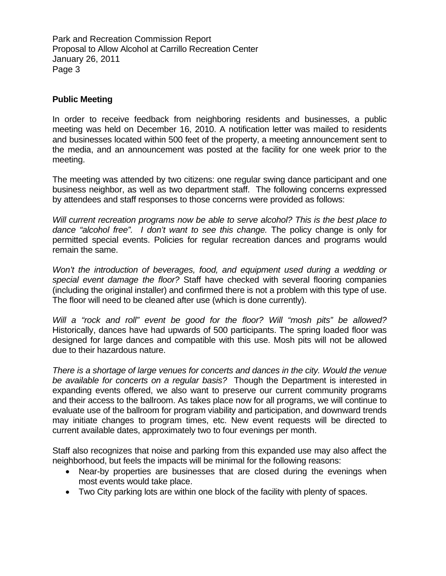Park and Recreation Commission Report Proposal to Allow Alcohol at Carrillo Recreation Center January 26, 2011 Page 3

#### **Public Meeting**

In order to receive feedback from neighboring residents and businesses, a public meeting was held on December 16, 2010. A notification letter was mailed to residents and businesses located within 500 feet of the property, a meeting announcement sent to the media, and an announcement was posted at the facility for one week prior to the meeting.

The meeting was attended by two citizens: one regular swing dance participant and one business neighbor, as well as two department staff. The following concerns expressed by attendees and staff responses to those concerns were provided as follows:

*Will current recreation programs now be able to serve alcohol? This is the best place to dance "alcohol free". I don't want to see this change.* The policy change is only for permitted special events. Policies for regular recreation dances and programs would remain the same.

*Won't the introduction of beverages, food, and equipment used during a wedding or special event damage the floor?* Staff have checked with several flooring companies (including the original installer) and confirmed there is not a problem with this type of use. The floor will need to be cleaned after use (which is done currently).

*Will a "rock and roll" event be good for the floor? Will "mosh pits" be allowed?*  Historically, dances have had upwards of 500 participants. The spring loaded floor was designed for large dances and compatible with this use. Mosh pits will not be allowed due to their hazardous nature.

*There is a shortage of large venues for concerts and dances in the city. Would the venue be available for concerts on a regular basis?* Though the Department is interested in expanding events offered, we also want to preserve our current community programs and their access to the ballroom. As takes place now for all programs, we will continue to evaluate use of the ballroom for program viability and participation, and downward trends may initiate changes to program times, etc. New event requests will be directed to current available dates, approximately two to four evenings per month.

Staff also recognizes that noise and parking from this expanded use may also affect the neighborhood, but feels the impacts will be minimal for the following reasons:

- Near-by properties are businesses that are closed during the evenings when most events would take place.
- Two City parking lots are within one block of the facility with plenty of spaces.